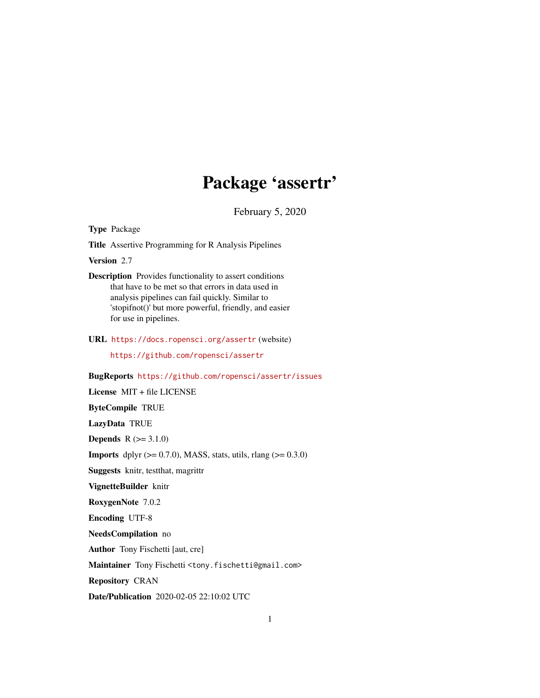# Package 'assertr'

February 5, 2020

<span id="page-0-0"></span>Type Package

Title Assertive Programming for R Analysis Pipelines

Version 2.7

Description Provides functionality to assert conditions that have to be met so that errors in data used in analysis pipelines can fail quickly. Similar to 'stopifnot()' but more powerful, friendly, and easier for use in pipelines.

URL <https://docs.ropensci.org/assertr> (website)

<https://github.com/ropensci/assertr>

BugReports <https://github.com/ropensci/assertr/issues>

License MIT + file LICENSE

ByteCompile TRUE

LazyData TRUE

**Depends**  $R (=3.1.0)$ 

**Imports** dplyr  $(>= 0.7.0)$ , MASS, stats, utils, rlang  $(>= 0.3.0)$ 

Suggests knitr, testthat, magrittr

VignetteBuilder knitr

RoxygenNote 7.0.2

Encoding UTF-8

NeedsCompilation no

Author Tony Fischetti [aut, cre]

Maintainer Tony Fischetti <tony.fischetti@gmail.com>

Repository CRAN

Date/Publication 2020-02-05 22:10:02 UTC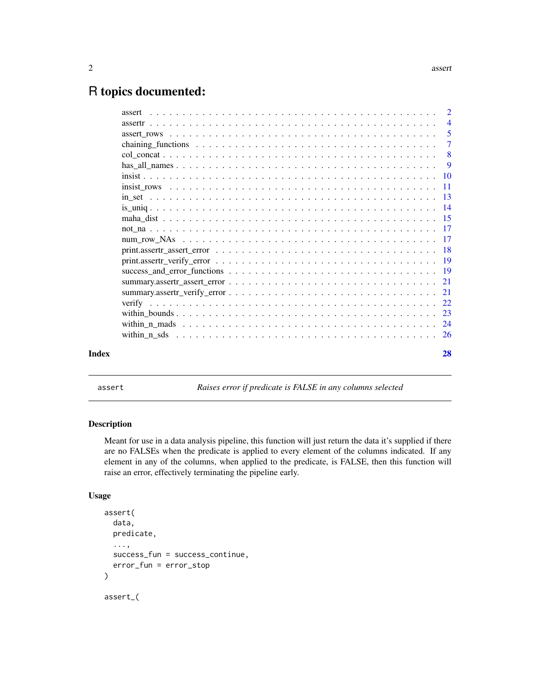# <span id="page-1-0"></span>R topics documented:

|       | assert                     | $\overline{2}$ |
|-------|----------------------------|----------------|
|       |                            | $\overline{4}$ |
|       | $\overline{\phantom{0}}$ 5 |                |
|       |                            | -7             |
|       | $\overline{\phantom{0}}8$  |                |
|       |                            | - 9            |
|       |                            |                |
|       |                            |                |
|       |                            |                |
|       |                            |                |
|       |                            |                |
|       |                            |                |
|       |                            |                |
|       |                            |                |
|       |                            |                |
|       |                            |                |
|       |                            |                |
|       |                            |                |
|       |                            |                |
|       |                            |                |
|       |                            |                |
|       |                            |                |
| Index | 28                         |                |

<span id="page-1-1"></span>assert *Raises error if predicate is FALSE in any columns selected*

# Description

Meant for use in a data analysis pipeline, this function will just return the data it's supplied if there are no FALSEs when the predicate is applied to every element of the columns indicated. If any element in any of the columns, when applied to the predicate, is FALSE, then this function will raise an error, effectively terminating the pipeline early.

# Usage

```
assert(
  data,
  predicate,
  ...,
  success_fun = success_continue,
  error_fun = error_stop
\mathcal{L}assert_(
```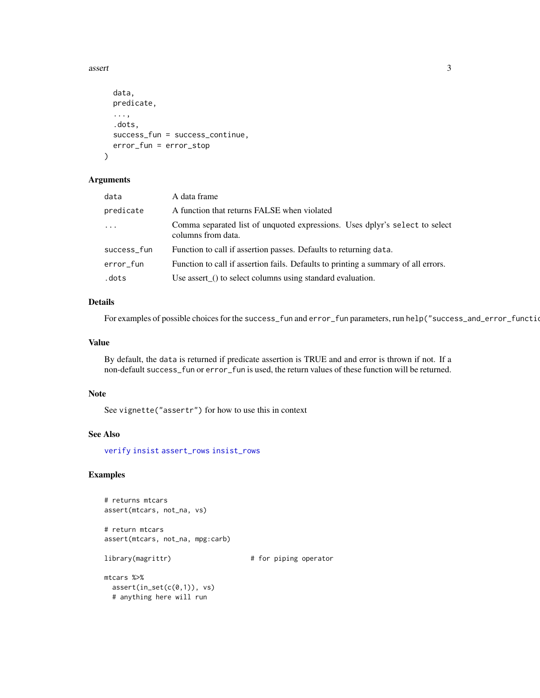#### <span id="page-2-0"></span>assert 3

```
data,
 predicate,
  ...,
  .dots,
  success_fun = success_continue,
 error_fun = error_stop
)
```
# Arguments

| data        | A data frame                                                                                      |
|-------------|---------------------------------------------------------------------------------------------------|
| predicate   | A function that returns FALSE when violated                                                       |
| $\cdots$    | Comma separated list of unquoted expressions. Uses dplyr's select to select<br>columns from data. |
| success_fun | Function to call if assertion passes. Defaults to returning data.                                 |
| error fun   | Function to call if assertion fails. Defaults to printing a summary of all errors.                |
| .dots       | Use assert_() to select columns using standard evaluation.                                        |

# Details

For examples of possible choices for the success\_fun and error\_fun parameters, run help("success\_and\_error\_functions")

#### Value

By default, the data is returned if predicate assertion is TRUE and and error is thrown if not. If a non-default success\_fun or error\_fun is used, the return values of these function will be returned.

# Note

See vignette("assertr") for how to use this in context

# See Also

[verify](#page-21-1) [insist](#page-9-1) [assert\\_rows](#page-4-1) [insist\\_rows](#page-10-1)

# Examples

# returns mtcars assert(mtcars, not\_na, vs)

# return mtcars assert(mtcars, not\_na, mpg:carb)

library(magrittr)  $\qquad$  # for piping operator

mtcars %>%  $assert(in_set(c(\theta,1)), vs)$ # anything here will run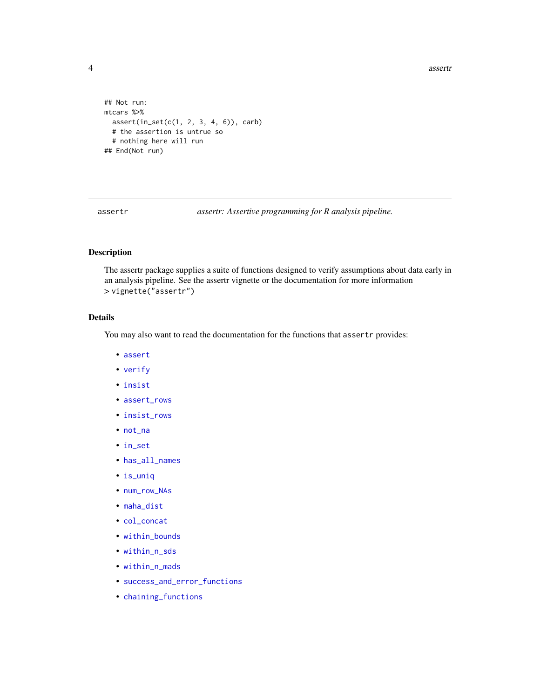**4** assertring the contract of the contract of the contract of the contract of the contract of the contract of the contract of the contract of the contract of the contract of the contract of the contract of the contract of

```
## Not run:
mtcars %>%
  assert(in_set(c(1, 2, 3, 4, 6)), carb)
  # the assertion is untrue so
  # nothing here will run
## End(Not run)
```
<span id="page-3-1"></span>assertr *assertr: Assertive programming for R analysis pipeline.*

# Description

The assertr package supplies a suite of functions designed to verify assumptions about data early in an analysis pipeline. See the assertr vignette or the documentation for more information > vignette("assertr")

# Details

You may also want to read the documentation for the functions that assertr provides:

- [assert](#page-1-1)
- [verify](#page-21-1)
- [insist](#page-9-1)
- [assert\\_rows](#page-4-1)
- [insist\\_rows](#page-10-1)
- [not\\_na](#page-16-1)
- [in\\_set](#page-12-1)
- [has\\_all\\_names](#page-8-1)
- [is\\_uniq](#page-13-1)
- [num\\_row\\_NAs](#page-16-2)
- [maha\\_dist](#page-14-1)
- [col\\_concat](#page-7-1)
- [within\\_bounds](#page-22-1)
- [within\\_n\\_sds](#page-25-1)
- [within\\_n\\_mads](#page-23-1)
- [success\\_and\\_error\\_functions](#page-18-1)
- [chaining\\_functions](#page-6-1)

<span id="page-3-0"></span>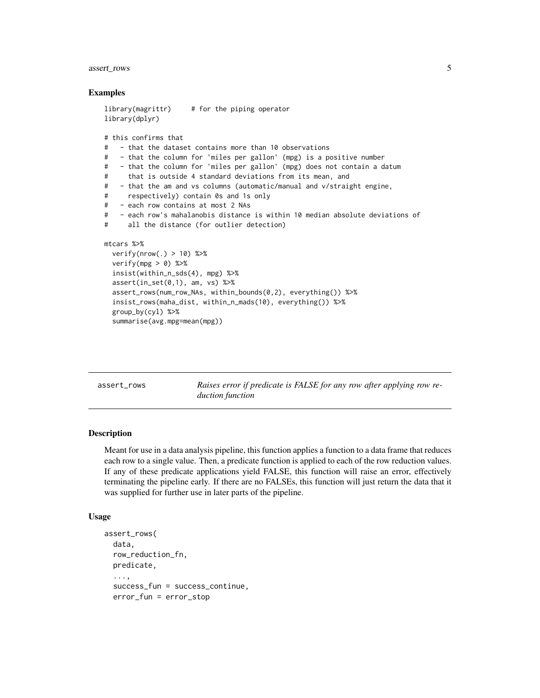# <span id="page-4-0"></span>assert\_rows 5

#### Examples

```
library(magrittr) # for the piping operator
library(dplyr)
# this confirms that
# - that the dataset contains more than 10 observations
# - that the column for 'miles per gallon' (mpg) is a positive number
# - that the column for 'miles per gallon' (mpg) does not contain a datum
# that is outside 4 standard deviations from its mean, and
# - that the am and vs columns (automatic/manual and v/straight engine,
# respectively) contain 0s and 1s only
# - each row contains at most 2 NAs
# - each row's mahalanobis distance is within 10 median absolute deviations of
# all the distance (for outlier detection)
mtcars %>%
 verify(nrow(.) > 10) %>%
 verify(mpg > 0) %>%
 insist(within_n_sds(4), mpg) %>%
 assert(in_set(0,1), am, vs) %assert_rows(num_row_NAs, within_bounds(0,2), everything()) %>%
 insist_rows(maha_dist, within_n_mads(10), everything()) %>%
 group_by(cyl) %>%
 summarise(avg.mpg=mean(mpg))
```
<span id="page-4-1"></span>assert\_rows *Raises error if predicate is FALSE for any row after applying row reduction function*

#### **Description**

Meant for use in a data analysis pipeline, this function applies a function to a data frame that reduces each row to a single value. Then, a predicate function is applied to each of the row reduction values. If any of these predicate applications yield FALSE, this function will raise an error, effectively terminating the pipeline early. If there are no FALSEs, this function will just return the data that it was supplied for further use in later parts of the pipeline.

#### Usage

```
assert_rows(
  data,
  row_reduction_fn,
 predicate,
  ...,
  success_fun = success_continue,
  error_fun = error_stop
```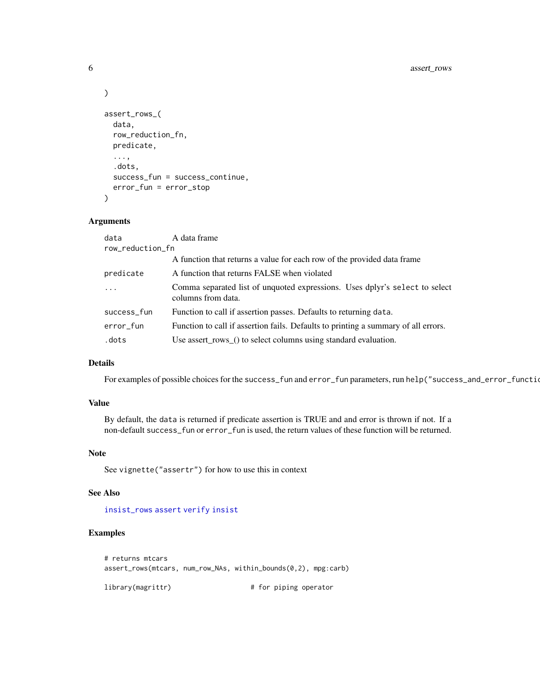```
\mathcal{L}assert_rows_(
  data,
  row_reduction_fn,
  predicate,
  ...,
  .dots,
  success_fun = success_continue,
  error_fun = error_stop
\mathcal{L}
```
# Arguments

| data             | A data frame                                                                                      |
|------------------|---------------------------------------------------------------------------------------------------|
| row_reduction_fn |                                                                                                   |
|                  | A function that returns a value for each row of the provided data frame                           |
| predicate        | A function that returns FALSE when violated                                                       |
| $\ddots$ .       | Comma separated list of unquoted expressions. Uses dplyr's select to select<br>columns from data. |
| success_fun      | Function to call if assertion passes. Defaults to returning data.                                 |
| error_fun        | Function to call if assertion fails. Defaults to printing a summary of all errors.                |
| .dots            | Use assert_rows_() to select columns using standard evaluation.                                   |

# Details

For examples of possible choices for the success\_fun and error\_fun parameters, run help("success\_and\_error\_functions")

# Value

By default, the data is returned if predicate assertion is TRUE and and error is thrown if not. If a non-default success\_fun or error\_fun is used, the return values of these function will be returned.

#### Note

See vignette("assertr") for how to use this in context

# See Also

[insist\\_rows](#page-10-1) [assert](#page-1-1) [verify](#page-21-1) [insist](#page-9-1)

# Examples

```
# returns mtcars
assert_rows(mtcars, num_row_NAs, within_bounds(0,2), mpg:carb)
```
library(magrittr)  $\qquad$  # for piping operator

<span id="page-5-0"></span>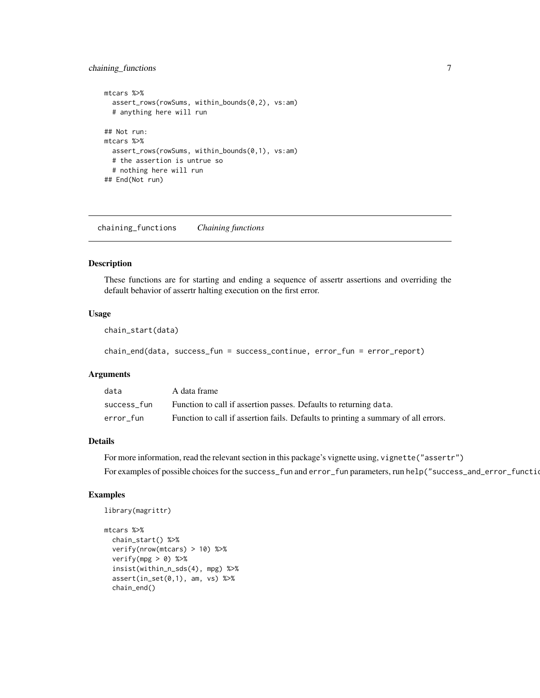# <span id="page-6-0"></span>chaining\_functions 7

```
mtcars %>%
  assert_rows(rowSums, within_bounds(0,2), vs:am)
  # anything here will run
## Not run:
mtcars %>%
  assert_rows(rowSums, within_bounds(0,1), vs:am)
  # the assertion is untrue so
  # nothing here will run
## End(Not run)
```
<span id="page-6-1"></span>chaining\_functions *Chaining functions*

#### Description

These functions are for starting and ending a sequence of assertr assertions and overriding the default behavior of assertr halting execution on the first error.

# Usage

chain\_start(data)

chain\_end(data, success\_fun = success\_continue, error\_fun = error\_report)

#### Arguments

| data        | A data frame                                                                       |
|-------------|------------------------------------------------------------------------------------|
| success fun | Function to call if assertion passes. Defaults to returning data.                  |
| error fun   | Function to call if assertion fails. Defaults to printing a summary of all errors. |

#### Details

For more information, read the relevant section in this package's vignette using, vignette("assertr")

For examples of possible choices for the success\_fun and error\_fun parameters, run help("success\_and\_error\_functions")

```
library(magrittr)
```

```
mtcars %>%
  chain_start() %>%
  verify(nrow(mtcars) > 10) %>%
  verify(mpg > 0) %>%
  insist(within_n_sds(4), mpg) %>%
  assert(in_set(0,1), am, vs) %>%
  chain_end()
```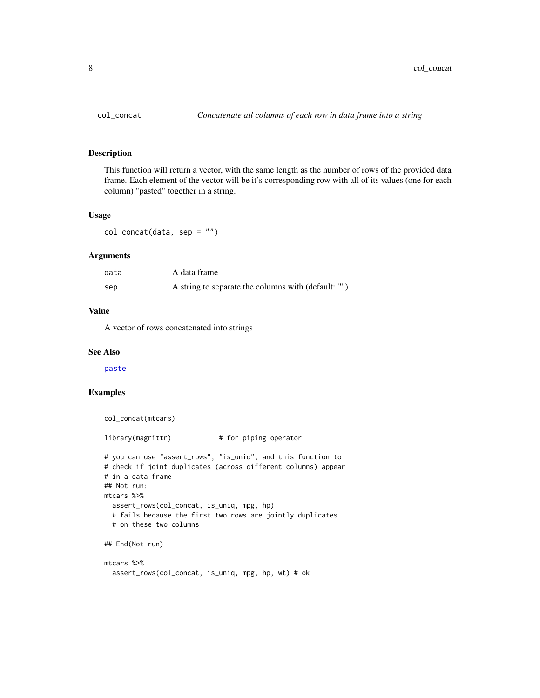This function will return a vector, with the same length as the number of rows of the provided data frame. Each element of the vector will be it's corresponding row with all of its values (one for each column) "pasted" together in a string.

# Usage

col\_concat(data, sep = "")

#### **Arguments**

| data | A data frame                                        |
|------|-----------------------------------------------------|
| sep  | A string to separate the columns with (default: "") |

# Value

A vector of rows concatenated into strings

#### See Also

[paste](#page-0-0)

```
col_concat(mtcars)
library(magrittr) # for piping operator
# you can use "assert_rows", "is_uniq", and this function to
# check if joint duplicates (across different columns) appear
# in a data frame
## Not run:
mtcars %>%
 assert_rows(col_concat, is_uniq, mpg, hp)
 # fails because the first two rows are jointly duplicates
 # on these two columns
## End(Not run)
mtcars %>%
 assert_rows(col_concat, is_uniq, mpg, hp, wt) # ok
```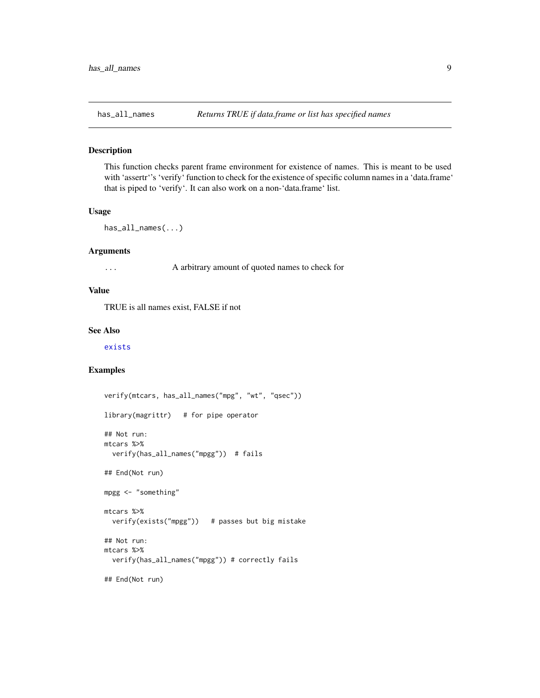<span id="page-8-1"></span><span id="page-8-0"></span>

This function checks parent frame environment for existence of names. This is meant to be used with 'assertr''s 'verify' function to check for the existence of specific column names in a 'data.frame' that is piped to 'verify'. It can also work on a non-'data.frame' list.

#### Usage

has\_all\_names(...)

#### Arguments

... A arbitrary amount of quoted names to check for

#### Value

TRUE is all names exist, FALSE if not

# See Also

[exists](#page-0-0)

```
verify(mtcars, has_all_names("mpg", "wt", "qsec"))
library(magrittr) # for pipe operator
## Not run:
mtcars %>%
  verify(has_all_names("mpgg")) # fails
## End(Not run)
mpgg <- "something"
mtcars %>%
  verify(exists("mpgg")) # passes but big mistake
## Not run:
mtcars %>%
  verify(has_all_names("mpgg")) # correctly fails
## End(Not run)
```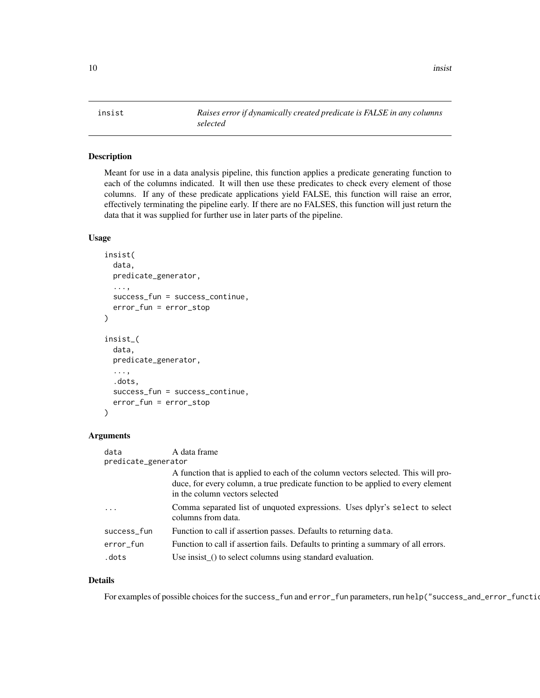<span id="page-9-1"></span><span id="page-9-0"></span>

Meant for use in a data analysis pipeline, this function applies a predicate generating function to each of the columns indicated. It will then use these predicates to check every element of those columns. If any of these predicate applications yield FALSE, this function will raise an error, effectively terminating the pipeline early. If there are no FALSES, this function will just return the data that it was supplied for further use in later parts of the pipeline.

#### Usage

```
insist(
  data,
 predicate_generator,
  ...,
 success_fun = success_continue,
  error_fun = error_stop
)
insist_(
  data,
 predicate_generator,
  ...,
  .dots,
  success_fun = success_continue,
  error_fun = error_stop
)
```
# Arguments

| data                | A data frame                                                                                                                                                                                            |  |
|---------------------|---------------------------------------------------------------------------------------------------------------------------------------------------------------------------------------------------------|--|
| predicate_generator |                                                                                                                                                                                                         |  |
|                     | A function that is applied to each of the column vectors selected. This will pro-<br>duce, for every column, a true predicate function to be applied to every element<br>in the column vectors selected |  |
| $\cdots$            | Comma separated list of unquoted expressions. Uses dplyr's select to select<br>columns from data.                                                                                                       |  |
| success_fun         | Function to call if assertion passes. Defaults to returning data.                                                                                                                                       |  |
| error_fun           | Function to call if assertion fails. Defaults to printing a summary of all errors.                                                                                                                      |  |
| .dots               | Use insist_() to select columns using standard evaluation.                                                                                                                                              |  |

# Details

For examples of possible choices for the success\_fun and error\_fun parameters, run help("success\_and\_error\_functions")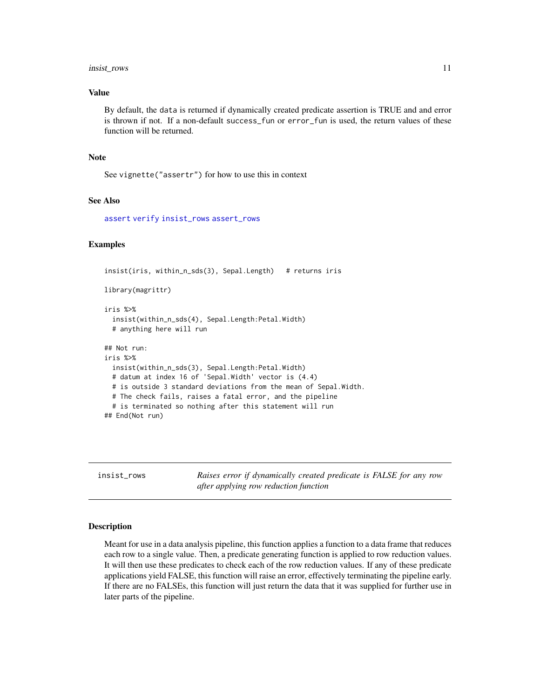#### <span id="page-10-0"></span>insist\_rows 11

# Value

By default, the data is returned if dynamically created predicate assertion is TRUE and and error is thrown if not. If a non-default success\_fun or error\_fun is used, the return values of these function will be returned.

#### Note

See vignette("assertr") for how to use this in context

# See Also

[assert](#page-1-1) [verify](#page-21-1) [insist\\_rows](#page-10-1) [assert\\_rows](#page-4-1)

#### Examples

```
insist(iris, within_n_sds(3), Sepal.Length) # returns iris
library(magrittr)
iris %>%
 insist(within_n_sds(4), Sepal.Length:Petal.Width)
 # anything here will run
## Not run:
iris %>%
 insist(within_n_sds(3), Sepal.Length:Petal.Width)
 # datum at index 16 of 'Sepal.Width' vector is (4.4)
 # is outside 3 standard deviations from the mean of Sepal.Width.
 # The check fails, raises a fatal error, and the pipeline
 # is terminated so nothing after this statement will run
## End(Not run)
```
<span id="page-10-1"></span>insist\_rows *Raises error if dynamically created predicate is FALSE for any row after applying row reduction function*

#### Description

Meant for use in a data analysis pipeline, this function applies a function to a data frame that reduces each row to a single value. Then, a predicate generating function is applied to row reduction values. It will then use these predicates to check each of the row reduction values. If any of these predicate applications yield FALSE, this function will raise an error, effectively terminating the pipeline early. If there are no FALSEs, this function will just return the data that it was supplied for further use in later parts of the pipeline.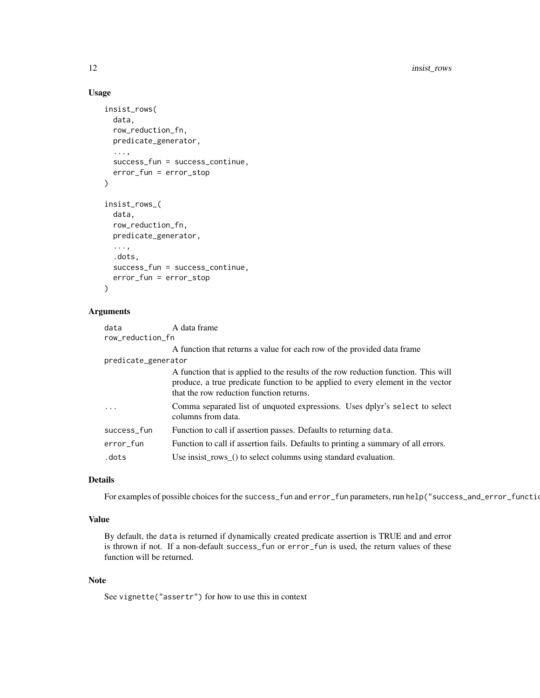# Usage

```
insist_rows(
 data,
  row_reduction_fn,
 predicate_generator,
  ...,
  success_fun = success_continue,
  error_fun = error_stop
)
insist_rows_(
  data,
  row_reduction_fn,
 predicate_generator,
  ...,
  .dots,
  success_fun = success_continue,
 error_fun = error_stop
\lambda
```
#### Arguments

| data                | A data frame                                                                                                                                                                                                      |
|---------------------|-------------------------------------------------------------------------------------------------------------------------------------------------------------------------------------------------------------------|
| row_reduction_fn    |                                                                                                                                                                                                                   |
|                     | A function that returns a value for each row of the provided data frame                                                                                                                                           |
| predicate_generator |                                                                                                                                                                                                                   |
|                     | A function that is applied to the results of the row reduction function. This will<br>produce, a true predicate function to be applied to every element in the vector<br>that the row reduction function returns. |
|                     | Comma separated list of unquoted expressions. Uses dplyr's select to select<br>columns from data.                                                                                                                 |
| success_fun         | Function to call if assertion passes. Defaults to returning data.                                                                                                                                                 |
| error_fun           | Function to call if assertion fails. Defaults to printing a summary of all errors.                                                                                                                                |
| .dots               | Use insist_rows_() to select columns using standard evaluation.                                                                                                                                                   |

# Details

For examples of possible choices for the success\_fun and error\_fun parameters, run help("success\_and\_error\_functions")

# Value

By default, the data is returned if dynamically created predicate assertion is TRUE and and error is thrown if not. If a non-default success\_fun or error\_fun is used, the return values of these function will be returned.

# Note

See vignette("assertr") for how to use this in context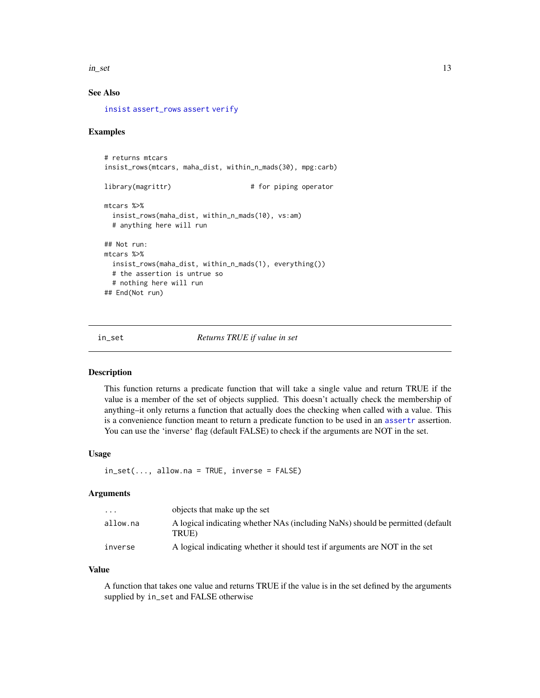<span id="page-12-0"></span> $\frac{13}{13}$ 

# See Also

[insist](#page-9-1) [assert\\_rows](#page-4-1) [assert](#page-1-1) [verify](#page-21-1)

# Examples

```
# returns mtcars
insist_rows(mtcars, maha_dist, within_n_mads(30), mpg:carb)
library(magrittr) \qquad # for piping operator
mtcars %>%
 insist_rows(maha_dist, within_n_mads(10), vs:am)
 # anything here will run
## Not run:
mtcars %>%
 insist_rows(maha_dist, within_n_mads(1), everything())
 # the assertion is untrue so
 # nothing here will run
## End(Not run)
```
<span id="page-12-1"></span>

in\_set *Returns TRUE if value in set*

# Description

This function returns a predicate function that will take a single value and return TRUE if the value is a member of the set of objects supplied. This doesn't actually check the membership of anything–it only returns a function that actually does the checking when called with a value. This is a convenience function meant to return a predicate function to be used in an [assertr](#page-3-1) assertion. You can use the 'inverse' flag (default FALSE) to check if the arguments are NOT in the set.

#### Usage

```
in_set(..., allow.na = TRUE, inverse = FALSE)
```
#### Arguments

| $\cdot$ $\cdot$ $\cdot$ | objects that make up the set                                                            |
|-------------------------|-----------------------------------------------------------------------------------------|
| allow.na                | A logical indicating whether NAs (including NaNs) should be permitted (default<br>TRUE) |
| inverse                 | A logical indicating whether it should test if arguments are NOT in the set             |

#### Value

A function that takes one value and returns TRUE if the value is in the set defined by the arguments supplied by in\_set and FALSE otherwise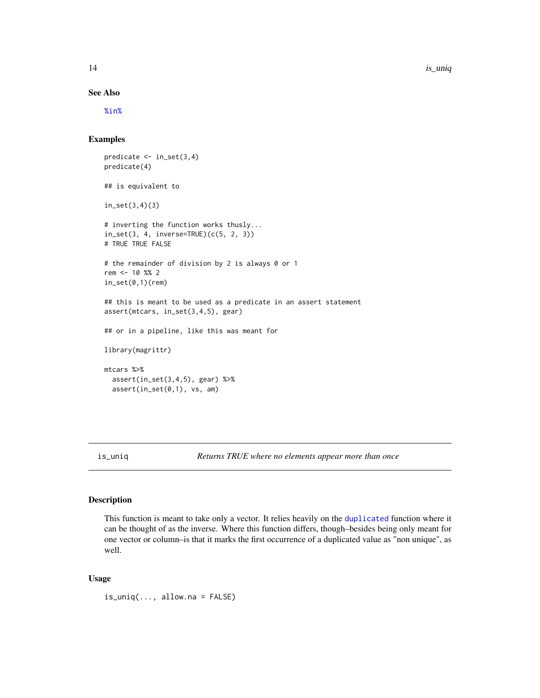14 is\_uniq

#### See Also

[%in%](#page-0-0)

#### Examples

```
predicate \leq in_set(3,4)
predicate(4)
## is equivalent to
in_set(3,4)(3)
# inverting the function works thusly...
in_set(3, 4, inverse=TRUE)(c(5, 2, 3))
# TRUE TRUE FALSE
# the remainder of division by 2 is always 0 or 1
rem <- 10 %% 2
in_set(0,1)(rem)
## this is meant to be used as a predicate in an assert statement
assert(mtcars, in_set(3,4,5), gear)
## or in a pipeline, like this was meant for
library(magrittr)
mtcars %>%
  assert(in_set(3,4,5), gear) %>%
  assert(in_set(\emptyset,1), vs, am)
```
<span id="page-13-1"></span>is\_uniq *Returns TRUE where no elements appear more than once*

# Description

This function is meant to take only a vector. It relies heavily on the [duplicated](#page-0-0) function where it can be thought of as the inverse. Where this function differs, though–besides being only meant for one vector or column–is that it marks the first occurrence of a duplicated value as "non unique", as well.

#### Usage

is\_uniq(..., allow.na = FALSE)

<span id="page-13-0"></span>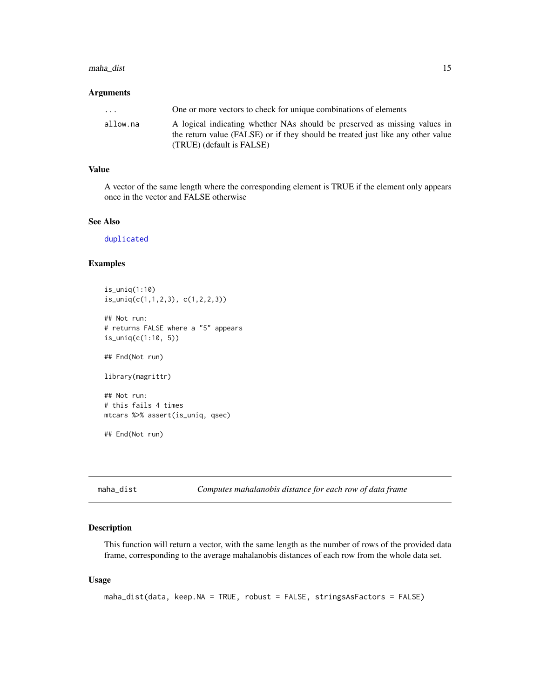# <span id="page-14-0"></span>maha\_dist 15

# Arguments

| .        | One or more vectors to check for unique combinations of elements                                                                                                                          |
|----------|-------------------------------------------------------------------------------------------------------------------------------------------------------------------------------------------|
| allow.na | A logical indicating whether NAs should be preserved as missing values in<br>the return value (FALSE) or if they should be treated just like any other value<br>(TRUE) (default is FALSE) |

# Value

A vector of the same length where the corresponding element is TRUE if the element only appears once in the vector and FALSE otherwise

# See Also

[duplicated](#page-0-0)

# Examples

is\_uniq(1:10) is\_uniq(c(1,1,2,3), c(1,2,2,3))

## Not run: # returns FALSE where a "5" appears is\_uniq(c(1:10, 5))

## End(Not run)

library(magrittr)

## Not run: # this fails 4 times mtcars %>% assert(is\_uniq, qsec)

## End(Not run)

<span id="page-14-1"></span>maha\_dist *Computes mahalanobis distance for each row of data frame*

# Description

This function will return a vector, with the same length as the number of rows of the provided data frame, corresponding to the average mahalanobis distances of each row from the whole data set.

#### Usage

maha\_dist(data, keep.NA = TRUE, robust = FALSE, stringsAsFactors = FALSE)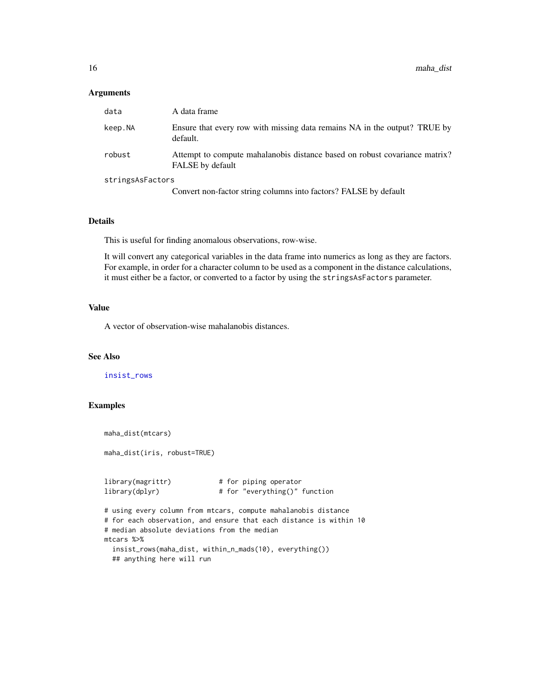# <span id="page-15-0"></span>Arguments

| data             | A data frame                                                                                          |
|------------------|-------------------------------------------------------------------------------------------------------|
| keep.NA          | Ensure that every row with missing data remains NA in the output? TRUE by<br>default.                 |
| robust           | Attempt to compute mahalanobis distance based on robust covariance matrix?<br><b>FALSE</b> by default |
| stringsAsFactors |                                                                                                       |
|                  | Convert non-factor string columns into factors? FALSE by default                                      |

#### Details

This is useful for finding anomalous observations, row-wise.

It will convert any categorical variables in the data frame into numerics as long as they are factors. For example, in order for a character column to be used as a component in the distance calculations, it must either be a factor, or converted to a factor by using the stringsAsFactors parameter.

# Value

A vector of observation-wise mahalanobis distances.

# See Also

[insist\\_rows](#page-10-1)

```
maha_dist(mtcars)
maha_dist(iris, robust=TRUE)
library(magrittr) # for piping operator
library(dplyr) # for "everything()" function
# using every column from mtcars, compute mahalanobis distance
# for each observation, and ensure that each distance is within 10
# median absolute deviations from the median
mtcars %>%
 insist_rows(maha_dist, within_n_mads(10), everything())
 ## anything here will run
```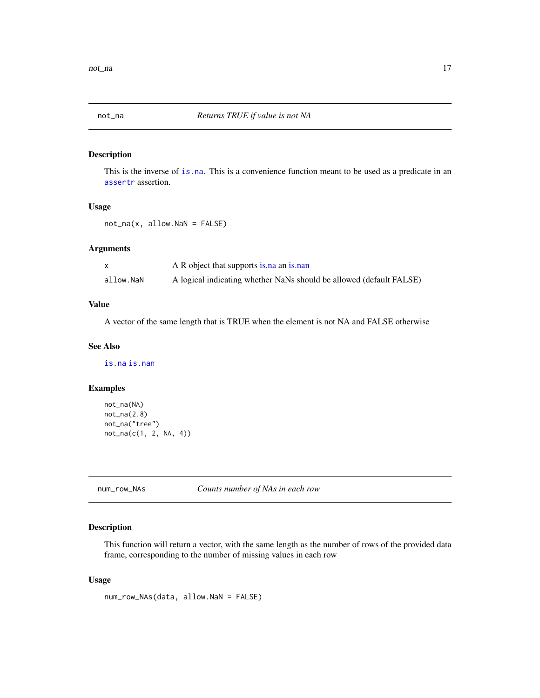<span id="page-16-1"></span><span id="page-16-0"></span>

This is the inverse of [is.na](#page-0-0). This is a convenience function meant to be used as a predicate in an [assertr](#page-3-1) assertion.

#### Usage

not\_na(x, allow.NaN = FALSE)

## Arguments

|           | A R object that supports is na an is nan                            |
|-----------|---------------------------------------------------------------------|
| allow.NaN | A logical indicating whether NaNs should be allowed (default FALSE) |

# Value

A vector of the same length that is TRUE when the element is not NA and FALSE otherwise

#### See Also

[is.na](#page-0-0) [is.nan](#page-0-0)

# Examples

```
not_na(NA)
not_na(2.8)not_na("tree")
not_na(c(1, 2, NA, 4))
```
<span id="page-16-2"></span>num\_row\_NAs *Counts number of NAs in each row*

# Description

This function will return a vector, with the same length as the number of rows of the provided data frame, corresponding to the number of missing values in each row

#### Usage

num\_row\_NAs(data, allow.NaN = FALSE)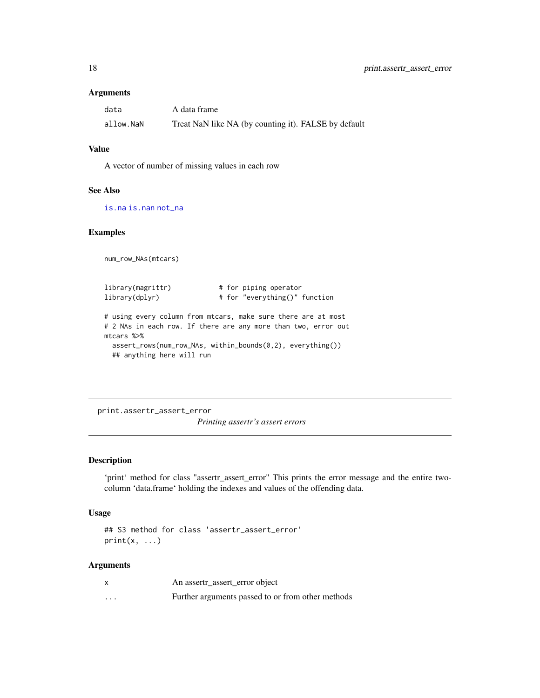# <span id="page-17-0"></span>Arguments

| data      | A data frame                                         |
|-----------|------------------------------------------------------|
| allow.NaN | Treat NaN like NA (by counting it). FALSE by default |

#### Value

A vector of number of missing values in each row

#### See Also

[is.na](#page-0-0) [is.nan](#page-0-0) [not\\_na](#page-16-1)

num\_row\_NAs(mtcars)

# Examples

library(magrittr) # for piping operator library(dplyr) # for "everything()" function # using every column from mtcars, make sure there are at most # 2 NAs in each row. If there are any more than two, error out mtcars %>% assert\_rows(num\_row\_NAs, within\_bounds(0,2), everything()) ## anything here will run

<span id="page-17-1"></span>print.assertr\_assert\_error *Printing assertr's assert errors*

# Description

'print' method for class "assertr\_assert\_error" This prints the error message and the entire twocolumn 'data.frame' holding the indexes and values of the offending data.

#### Usage

```
## S3 method for class 'assertr_assert_error'
print(x, \ldots)
```
#### Arguments

|         | An assertr_assert_error object                    |
|---------|---------------------------------------------------|
| $\cdot$ | Further arguments passed to or from other methods |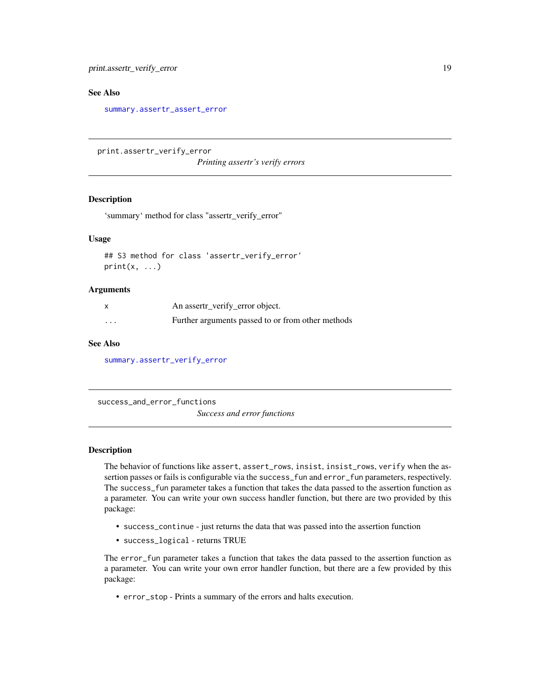<span id="page-18-0"></span>print.assertr\_verify\_error 19

#### See Also

[summary.assertr\\_assert\\_error](#page-20-1)

<span id="page-18-2"></span>print.assertr\_verify\_error

*Printing assertr's verify errors*

# Description

'summary' method for class "assertr\_verify\_error"

# Usage

## S3 method for class 'assertr\_verify\_error'  $print(x, \ldots)$ 

#### **Arguments**

|                         | An assertr_verify_error object.                   |
|-------------------------|---------------------------------------------------|
| $\cdot$ $\cdot$ $\cdot$ | Further arguments passed to or from other methods |

# See Also

[summary.assertr\\_verify\\_error](#page-20-2)

<span id="page-18-1"></span>success\_and\_error\_functions

*Success and error functions*

# Description

The behavior of functions like assert, assert\_rows, insist, insist\_rows, verify when the assertion passes or fails is configurable via the success\_fun and error\_fun parameters, respectively. The success\_fun parameter takes a function that takes the data passed to the assertion function as a parameter. You can write your own success handler function, but there are two provided by this package:

- success\_continue just returns the data that was passed into the assertion function
- success\_logical returns TRUE

The error\_fun parameter takes a function that takes the data passed to the assertion function as a parameter. You can write your own error handler function, but there are a few provided by this package:

• error\_stop - Prints a summary of the errors and halts execution.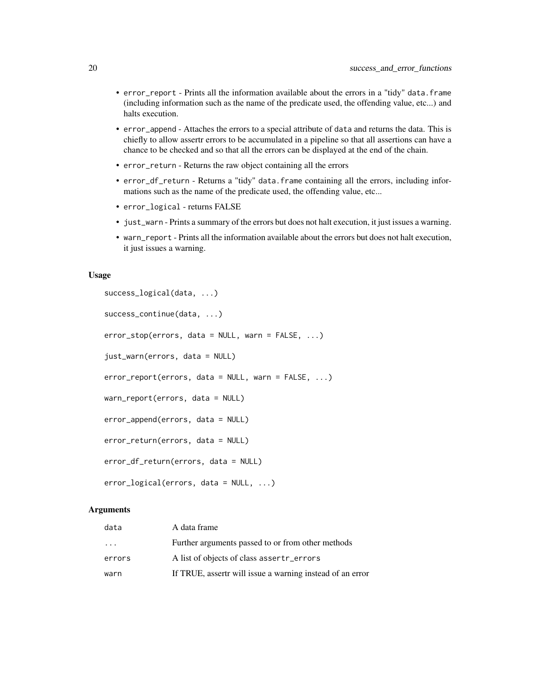- error\_report Prints all the information available about the errors in a "tidy" data.frame (including information such as the name of the predicate used, the offending value, etc...) and halts execution.
- error\_append Attaches the errors to a special attribute of data and returns the data. This is chiefly to allow assertr errors to be accumulated in a pipeline so that all assertions can have a chance to be checked and so that all the errors can be displayed at the end of the chain.
- error\_return Returns the raw object containing all the errors
- error\_df\_return Returns a "tidy" data.frame containing all the errors, including informations such as the name of the predicate used, the offending value, etc...
- error\_logical returns FALSE
- just\_warn Prints a summary of the errors but does not halt execution, it just issues a warning.
- warn\_report Prints all the information available about the errors but does not halt execution, it just issues a warning.

# Usage

```
success_logical(data, ...)
success_continue(data, ...)
error_stop(errors, data = NULL, warn = FALSE, ...)
just_warn(errors, data = NULL)
error_report(errors, data = NULL, warn = FALSE, ...)
warn_report(errors, data = NULL)
error_append(errors, data = NULL)
error_return(errors, data = NULL)
error_df_return(errors, data = NULL)
error_logical(errors, data = NULL, ...)
```
# Arguments

| data     | A data frame                                              |
|----------|-----------------------------------------------------------|
| $\cdots$ | Further arguments passed to or from other methods         |
| errors   | A list of objects of class assertr_errors                 |
| warn     | If TRUE, assertr will issue a warning instead of an error |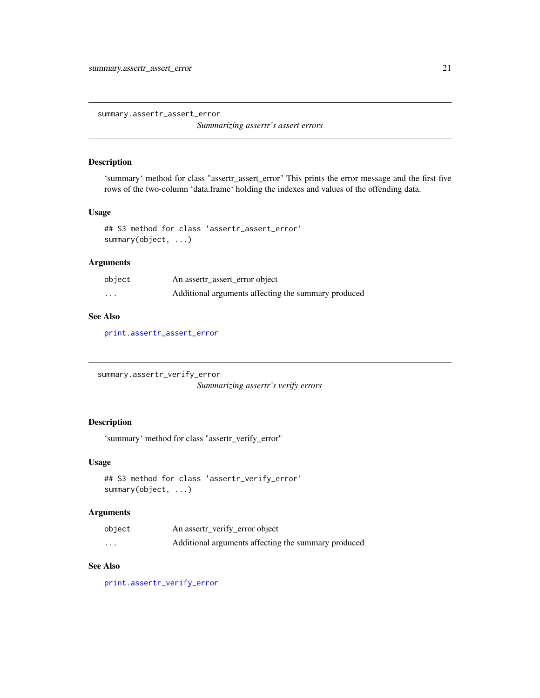<span id="page-20-1"></span><span id="page-20-0"></span>summary.assertr\_assert\_error

*Summarizing assertr's assert errors*

# Description

'summary' method for class "assertr\_assert\_error" This prints the error message and the first five rows of the two-column 'data.frame' holding the indexes and values of the offending data.

# Usage

```
## S3 method for class 'assertr_assert_error'
summary(object, ...)
```
# Arguments

| object                  | An assert __assert_error object                     |
|-------------------------|-----------------------------------------------------|
| $\cdot$ $\cdot$ $\cdot$ | Additional arguments affecting the summary produced |

#### See Also

[print.assertr\\_assert\\_error](#page-17-1)

```
summary.assertr_verify_error
```
*Summarizing assertr's verify errors*

# Description

'summary' method for class "assertr\_verify\_error"

# Usage

```
## S3 method for class 'assertr_verify_error'
summary(object, ...)
```
#### Arguments

| object   | An assertr_verify_error object                      |
|----------|-----------------------------------------------------|
| $\cdots$ | Additional arguments affecting the summary produced |

# See Also

[print.assertr\\_verify\\_error](#page-18-2)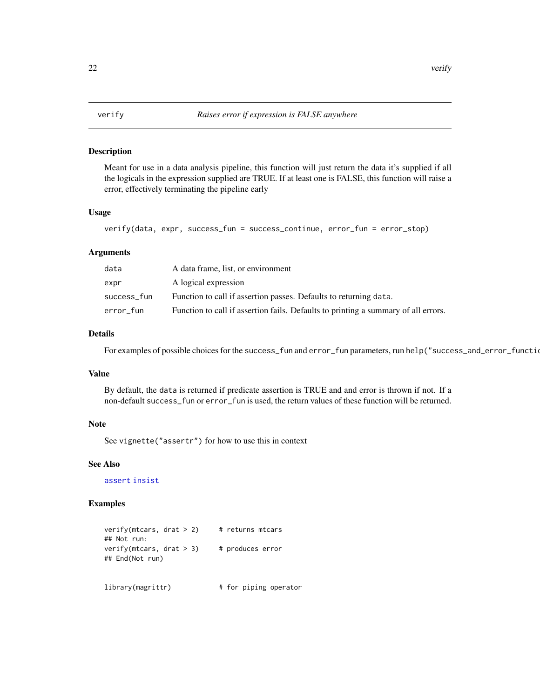<span id="page-21-1"></span><span id="page-21-0"></span>

Meant for use in a data analysis pipeline, this function will just return the data it's supplied if all the logicals in the expression supplied are TRUE. If at least one is FALSE, this function will raise a error, effectively terminating the pipeline early

# Usage

```
verify(data, expr, success_fun = success_continue, error_fun = error_stop)
```
# Arguments

| data        | A data frame, list, or environment                                                 |
|-------------|------------------------------------------------------------------------------------|
| expr        | A logical expression                                                               |
| success_fun | Function to call if assertion passes. Defaults to returning data.                  |
| error fun   | Function to call if assertion fails. Defaults to printing a summary of all errors. |

# Details

For examples of possible choices for the success\_fun and error\_fun parameters, run help("success\_and\_error\_functions")

# Value

By default, the data is returned if predicate assertion is TRUE and and error is thrown if not. If a non-default success\_fun or error\_fun is used, the return values of these function will be returned.

# Note

See vignette("assertr") for how to use this in context

# See Also

[assert](#page-1-1) [insist](#page-9-1)

| verify(mtcars, drat > 2)                      | # returns mtcars      |  |
|-----------------------------------------------|-----------------------|--|
| ## Not run:                                   |                       |  |
| verify(mtcars, drat $>$ 3)<br>## End(Not run) | # produces error      |  |
| library(magrittr)                             | # for piping operator |  |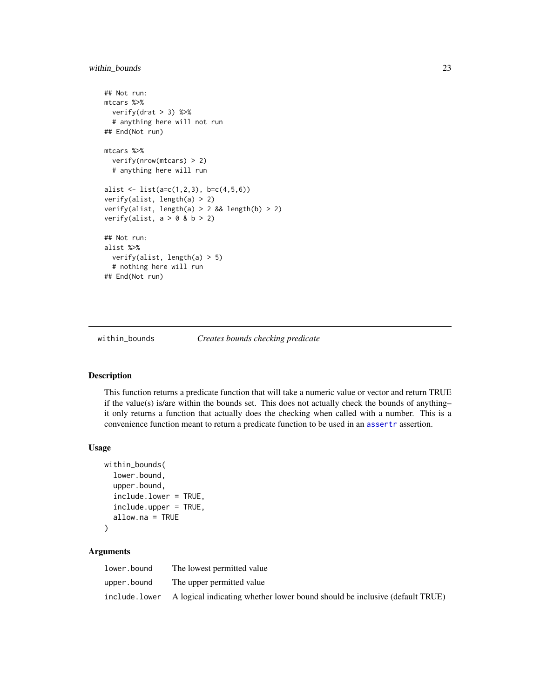# <span id="page-22-0"></span>within\_bounds 23

```
## Not run:
mtcars %>%
 verify(drat > 3) %>%
 # anything here will not run
## End(Not run)
mtcars %>%
 verify(nrow(mtcars) > 2)
 # anything here will run
alist \leftarrow list(a=c(1,2,3), b=c(4,5,6))
verify(alist, length(a) > 2)
verify(alist, length(a) > 2 && length(b) > 2)
verify(alist, a > 0 & b > 2)
## Not run:
alist %>%
 verify(alist, length(a) > 5)
 # nothing here will run
## End(Not run)
```
<span id="page-22-1"></span>within\_bounds *Creates bounds checking predicate*

#### Description

This function returns a predicate function that will take a numeric value or vector and return TRUE if the value(s) is/are within the bounds set. This does not actually check the bounds of anything– it only returns a function that actually does the checking when called with a number. This is a convenience function meant to return a predicate function to be used in an [assertr](#page-3-1) assertion.

#### Usage

```
within_bounds(
  lower.bound,
  upper.bound,
  include.lower = TRUE,
  include.upper = TRUE,
  allow.na = TRUE
\lambda
```
# Arguments

| lower.bound   | The lowest permitted value                                                  |
|---------------|-----------------------------------------------------------------------------|
| upper.bound   | The upper permitted value                                                   |
| include.lower | A logical indicating whether lower bound should be inclusive (default TRUE) |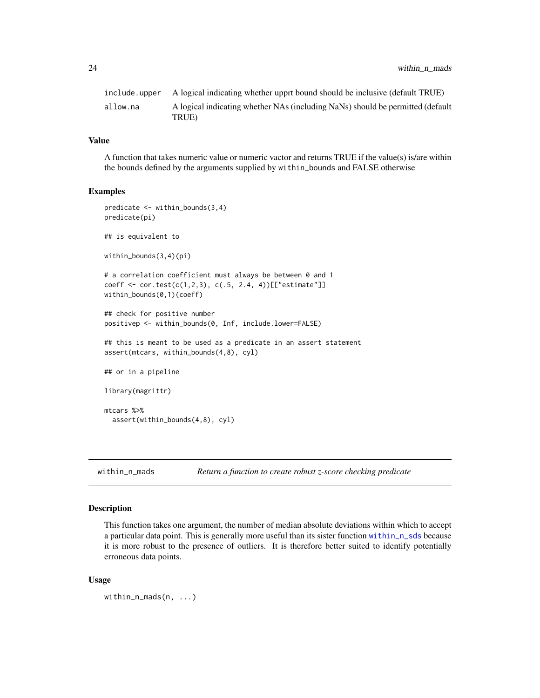<span id="page-23-0"></span>

| include.upper | A logical indicating whether upprt bound should be inclusive (default TRUE)             |
|---------------|-----------------------------------------------------------------------------------------|
| allow.na      | A logical indicating whether NAs (including NaNs) should be permitted (default<br>TRUE) |

# Value

A function that takes numeric value or numeric vactor and returns TRUE if the value(s) is/are within the bounds defined by the arguments supplied by within\_bounds and FALSE otherwise

#### Examples

```
predicate <- within_bounds(3,4)
predicate(pi)
## is equivalent to
within_bounds(3,4)(pi)
# a correlation coefficient must always be between 0 and 1
coeff <- cor.test(c(1,2,3), c(.5, 2.4, 4))[["estimate"]]
within_bounds(0,1)(coeff)
## check for positive number
positivep <- within_bounds(0, Inf, include.lower=FALSE)
## this is meant to be used as a predicate in an assert statement
assert(mtcars, within_bounds(4,8), cyl)
## or in a pipeline
library(magrittr)
mtcars %>%
  assert(within_bounds(4,8), cyl)
```
<span id="page-23-1"></span>within\_n\_mads *Return a function to create robust z-score checking predicate*

# Description

This function takes one argument, the number of median absolute deviations within which to accept a particular data point. This is generally more useful than its sister function [within\\_n\\_sds](#page-25-1) because it is more robust to the presence of outliers. It is therefore better suited to identify potentially erroneous data points.

#### Usage

```
within_n_mads(n, ...)
```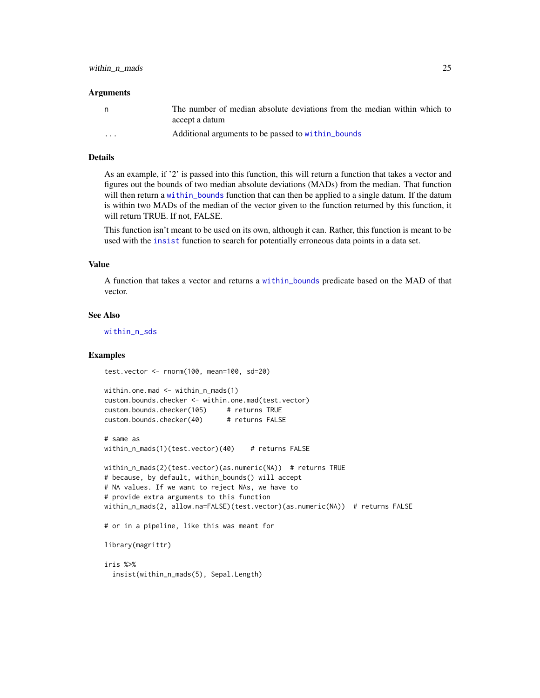#### <span id="page-24-0"></span>**Arguments**

| n        | The number of median absolute deviations from the median within which to<br>accept a datum |
|----------|--------------------------------------------------------------------------------------------|
| $\cdots$ | Additional arguments to be passed to within bounds                                         |

#### Details

As an example, if '2' is passed into this function, this will return a function that takes a vector and figures out the bounds of two median absolute deviations (MADs) from the median. That function will then return a within bounds function that can then be applied to a single datum. If the datum is within two MADs of the median of the vector given to the function returned by this function, it will return TRUE. If not, FALSE.

This function isn't meant to be used on its own, although it can. Rather, this function is meant to be used with the [insist](#page-9-1) function to search for potentially erroneous data points in a data set.

#### Value

A function that takes a vector and returns a [within\\_bounds](#page-22-1) predicate based on the MAD of that vector.

# See Also

within n sds

#### Examples

test.vector <- rnorm(100, mean=100, sd=20)

```
within.one.mad <- within_n_mads(1)
custom.bounds.checker <- within.one.mad(test.vector)
custom.bounds.checker(105) # returns TRUE
custom.bounds.checker(40) # returns FALSE
# same as
within_n_mads(1)(test.vector)(40) # returns FALSE
within_n_mads(2)(test.vector)(as.numeric(NA)) # returns TRUE
# because, by default, within_bounds() will accept
# NA values. If we want to reject NAs, we have to
# provide extra arguments to this function
within_n_mads(2, allow.na=FALSE)(test.vector)(as.numeric(NA)) # returns FALSE
# or in a pipeline, like this was meant for
library(magrittr)
iris %>%
 insist(within_n_mads(5), Sepal.Length)
```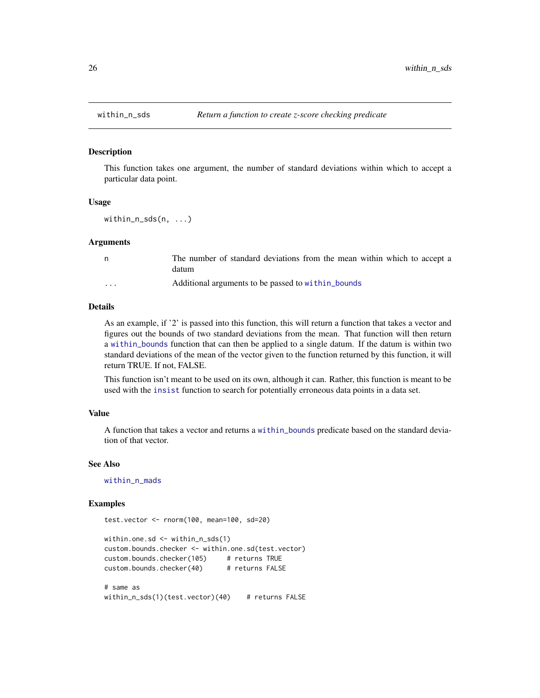<span id="page-25-1"></span><span id="page-25-0"></span>

This function takes one argument, the number of standard deviations within which to accept a particular data point.

#### Usage

within\_n\_sds(n, ...)

# Arguments

| n.                      | The number of standard deviations from the mean within which to accept a<br>datum |
|-------------------------|-----------------------------------------------------------------------------------|
| $\cdot$ $\cdot$ $\cdot$ | Additional arguments to be passed to within bounds                                |

# Details

As an example, if '2' is passed into this function, this will return a function that takes a vector and figures out the bounds of two standard deviations from the mean. That function will then return a [within\\_bounds](#page-22-1) function that can then be applied to a single datum. If the datum is within two standard deviations of the mean of the vector given to the function returned by this function, it will return TRUE. If not, FALSE.

This function isn't meant to be used on its own, although it can. Rather, this function is meant to be used with the [insist](#page-9-1) function to search for potentially erroneous data points in a data set.

#### Value

A function that takes a vector and returns a [within\\_bounds](#page-22-1) predicate based on the standard deviation of that vector.

#### See Also

[within\\_n\\_mads](#page-23-1)

#### Examples

test.vector <- rnorm(100, mean=100, sd=20)

```
within.one.sd <- within_n_sds(1)
custom.bounds.checker <- within.one.sd(test.vector)
custom.bounds.checker(105) # returns TRUE
custom.bounds.checker(40) # returns FALSE
# same as
within_n_sds(1)(test.vector)(40) # returns FALSE
```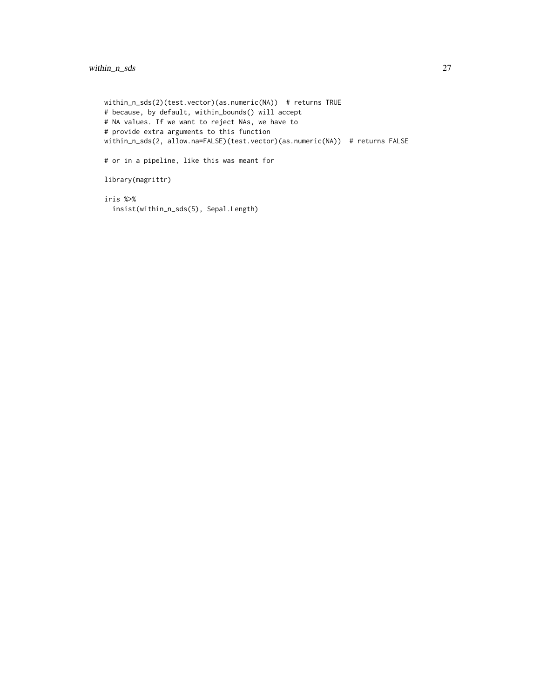```
within_n_sds(2)(test.vector)(as.numeric(NA)) # returns TRUE
# because, by default, within_bounds() will accept
# NA values. If we want to reject NAs, we have to
# provide extra arguments to this function
within_n_sds(2, allow.na=FALSE)(test.vector)(as.numeric(NA)) # returns FALSE
# or in a pipeline, like this was meant for
library(magrittr)
iris %>%
  insist(within_n_sds(5), Sepal.Length)
```